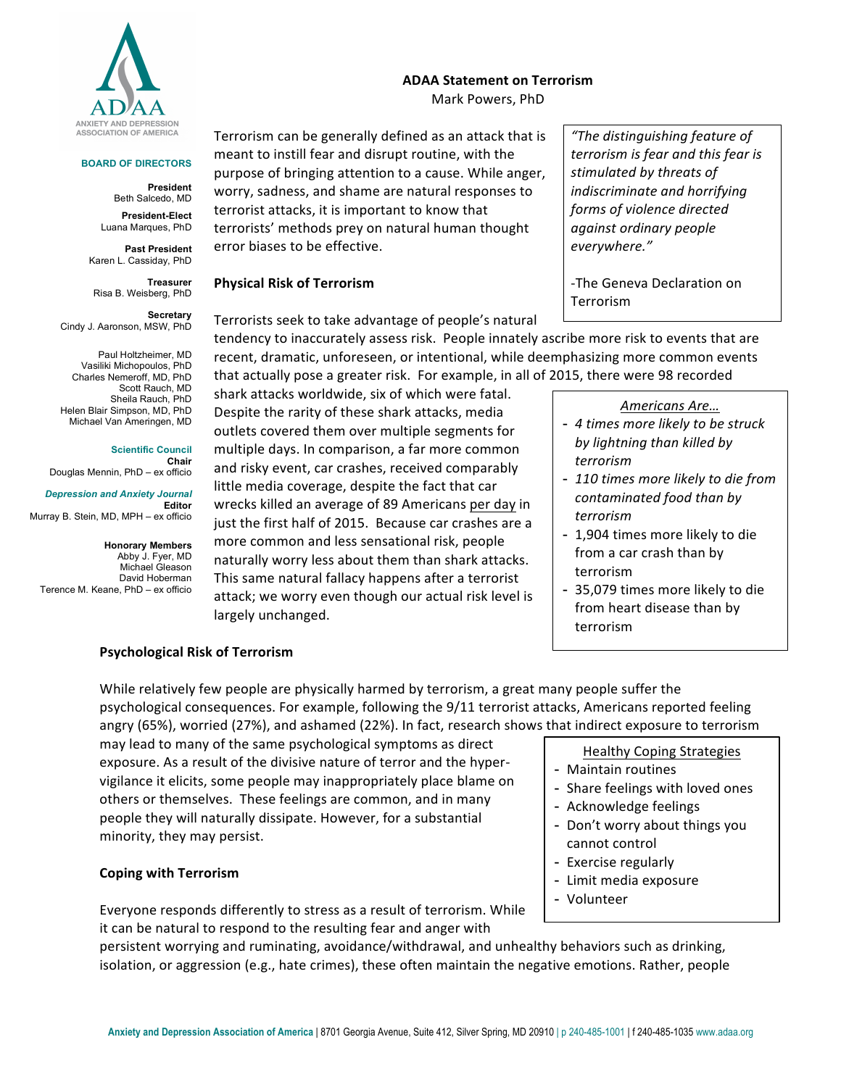

#### **BOARD OF DIRECTORS**

**President** Beth Salcedo, MD

**President-Elect** Luana Marques, PhD

**Past President** Karen L. Cassiday, PhD

**Treasurer** Risa B. Weisberg, PhD

**Secretary**  Cindy J. Aaronson, MSW, PhD

Paul Holtzheimer, MD Vasiliki Michopoulos, PhD Charles Nemeroff, MD, PhD Scott Rauch, MD Sheila Rauch, PhD Helen Blair Simpson, MD, PhD Michael Van Ameringen, MD

**Scientific Council Chair** Douglas Mennin, PhD – ex officio

#### *Depression and Anxiety Journal* **Editor** Murray B. Stein, MD, MPH – ex officio

**Honorary Members** Abby J. Fyer, MD Michael Gleason David Hoberman Terence M. Keane, PhD – ex officio

# **ADAA Statement on Terrorism** Mark Powers, PhD

Terrorism can be generally defined as an attack that is meant to instill fear and disrupt routine, with the purpose of bringing attention to a cause. While anger, worry, sadness, and shame are natural responses to terrorist attacks, it is important to know that terrorists' methods prey on natural human thought error biases to be effective.

## **Physical Risk of Terrorism**

Terrorists seek to take advantage of people's natural

tendency to inaccurately assess risk. People innately ascribe more risk to events that are recent, dramatic, unforeseen, or intentional, while deemphasizing more common events that actually pose a greater risk. For example, in all of 2015, there were 98 recorded

shark attacks worldwide, six of which were fatal. Despite the rarity of these shark attacks, media outlets covered them over multiple segments for multiple days. In comparison, a far more common and risky event, car crashes, received comparably little media coverage, despite the fact that car wrecks killed an average of 89 Americans per day in just the first half of 2015. Because car crashes are a more common and less sensational risk, people naturally worry less about them than shark attacks. This same natural fallacy happens after a terrorist attack; we worry even though our actual risk level is largely unchanged.

*"The distinguishing feature of terrorism is fear and this fear is*  stimulated by threats of *indiscriminate and horrifying forms of violence directed against ordinary people everywhere."* 

-The Geneva Declaration on **Terrorism** 

#### *Americans Are…*

- *4 times more likely to be struck by lightning than killed by terrorism*
- 110 times more likely to die from *contaminated food than by terrorism*
- 1,904 times more likely to die from a car crash than by terrorism
- 35,079 times more likely to die from heart disease than by terrorism

## **Psychological Risk of Terrorism**

While relatively few people are physically harmed by terrorism, a great many people suffer the psychological consequences. For example, following the 9/11 terrorist attacks, Americans reported feeling angry (65%), worried (27%), and ashamed (22%). In fact, research shows that indirect exposure to terrorism

may lead to many of the same psychological symptoms as direct exposure. As a result of the divisive nature of terror and the hypervigilance it elicits, some people may inappropriately place blame on others or themselves. These feelings are common, and in many people they will naturally dissipate. However, for a substantial minority, they may persist.

## **Coping with Terrorism**

Everyone responds differently to stress as a result of terrorism. While it can be natural to respond to the resulting fear and anger with

persistent worrying and ruminating, avoidance/withdrawal, and unhealthy behaviors such as drinking, isolation, or aggression (e.g., hate crimes), these often maintain the negative emotions. Rather, people

Healthy Coping Strategies

- Maintain routines
- Share feelings with loved ones
- Acknowledge feelings
- Don't worry about things you cannot control
- Exercise regularly
- Limit media exposure
- Volunteer